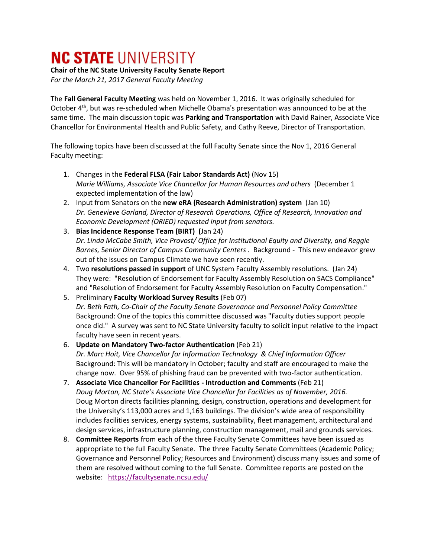## **NC STATE UNIVERSITY**

## **Chair of the NC State University Faculty Senate Report**

*For the March 21, 2017 General Faculty Meeting*

The **Fall General Faculty Meeting** was held on November 1, 2016. It was originally scheduled for October 4<sup>th</sup>, but was re-scheduled when Michelle Obama's presentation was announced to be at the same time. The main discussion topic was **Parking and Transportation** with David Rainer, Associate Vice Chancellor for Environmental Health and Public Safety, and Cathy Reeve, Director of Transportation.

The following topics have been discussed at the full Faculty Senate since the Nov 1, 2016 General Faculty meeting:

- 1. Changes in the **Federal FLSA (Fair Labor Standards Act)** (Nov 15) *Marie Williams, Associate Vice Chancellor for Human Resources and others* (December 1 expected implementation of the law)
- 2. Input from Senators on the **new eRA (Research Administration) system** (Jan 10) *Dr. Genevieve Garland, Director of Research Operations, Office of Research, Innovation and Economic Development (ORIED) requested input from senators.*
- 3. **Bias Incidence Response Team (BIRT) (**Jan 24) *Dr. Linda McCabe Smith, Vice Provost/ Office for Institutional Equity and Diversity, and Reggie Barnes,* S*enior Director of Campus Community Centers .* Background - This new endeavor grew out of the issues on Campus Climate we have seen recently.
- 4. Two **resolutions passed in support** of UNC System Faculty Assembly resolutions. (Jan 24) They were: "Resolution of Endorsement for Faculty Assembly Resolution on SACS Compliance" and "Resolution of Endorsement for Faculty Assembly Resolution on Faculty Compensation."
- 5. Preliminary **Faculty Workload Survey Results** (Feb 07) *Dr. Beth Fath, Co-Chair of the Faculty Senate Governance and Personnel Policy Committee* Background: One of the topics this committee discussed was "Faculty duties support people once did." A survey was sent to NC State University faculty to solicit input relative to the impact faculty have seen in recent years.

## 6. **Update on Mandatory Two-factor Authentication** (Feb 21) *Dr. Marc Hoit, Vice Chancellor for Information Technology & Chief Information Officer* Background: This will be mandatory in October; faculty and staff are encouraged to make the change now. Over 95% of phishing fraud can be prevented with two-factor authentication.

- 7. **Associate Vice Chancellor For Facilities - Introduction and Comments** (Feb 21) *Doug Morton, NC State's Associate Vice Chancellor for Facilities as of November, 2016.*  Doug Morton directs facilities planning, design, construction, operations and development for the University's 113,000 acres and 1,163 buildings. The division's wide area of responsibility includes facilities services, energy systems, sustainability, fleet management, architectural and design services, infrastructure planning, construction management, mail and grounds services.
- 8. **Committee Reports** from each of the three Faculty Senate Committees have been issued as appropriate to the full Faculty Senate. The three Faculty Senate Committees (Academic Policy; Governance and Personnel Policy; Resources and Environment) discuss many issues and some of them are resolved without coming to the full Senate. Committee reports are posted on the website: <https://facultysenate.ncsu.edu/>